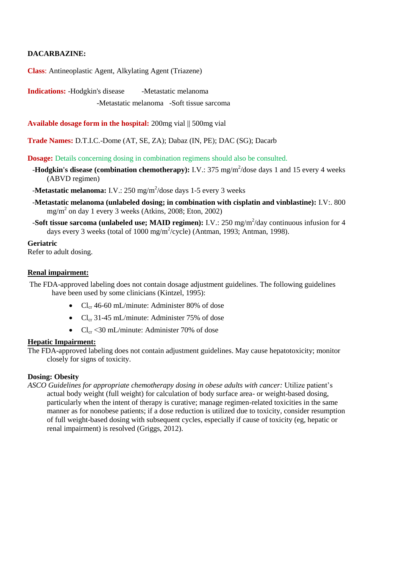# **DACARBAZINE:**

**Class**: Antineoplastic Agent, Alkylating Agent (Triazene)

**Indications:** -Hodgkin's disease -Metastatic melanoma

-Metastatic melanoma -Soft tissue sarcoma

**Available dosage form in the hospital:** 200mg vial || 500mg vial

**Trade Names:** D.T.I.C.-Dome (AT, SE, ZA); Dabaz (IN, PE); DAC (SG); Dacarb

**Dosage:** Details concerning dosing in combination regimens should also be consulted.

**-Hodgkin's disease (combination chemotherapy):** I.V.:  $375 \text{ mg/m}^2/\text{dose days}$  1 and 15 every 4 weeks (ABVD regimen)

-**Metastatic melanoma:** I.V.: 250 mg/m<sup>2</sup>/dose days 1-5 every 3 weeks

- -**Metastatic melanoma (unlabeled dosing; in combination with cisplatin and vinblastine):** I.V:. 800 mg/m<sup>2</sup> on day 1 every 3 weeks (Atkins, 2008; Eton, 2002)
- **-Soft tissue sarcoma (unlabeled use; MAID regimen):** I.V.: 250 mg/m<sup>2</sup>/day continuous infusion for 4 days every 3 weeks (total of 1000 mg/m<sup>2</sup>/cycle) (Antman, 1993; Antman, 1998).

**Geriatric** Refer to adult dosing.

# **Renal impairment:**

The FDA-approved labeling does not contain dosage adjustment guidelines. The following guidelines have been used by some clinicians (Kintzel, 1995):

- $Cl_{cr}$  46-60 mL/minute: Administer 80% of dose
- $Cl_{cr}$  31-45 mL/minute: Administer 75% of dose
- $Cl_{cr}$  <30 mL/minute: Administer 70% of dose

## **Hepatic Impairment:**

The FDA-approved labeling does not contain adjustment guidelines. May cause hepatotoxicity; monitor closely for signs of toxicity.

## **Dosing: Obesity**

*ASCO Guidelines for appropriate chemotherapy dosing in obese adults with cancer:* Utilize patient's actual body weight (full weight) for calculation of body surface area- or weight-based dosing, particularly when the intent of therapy is curative; manage regimen-related toxicities in the same manner as for nonobese patients; if a dose reduction is utilized due to toxicity, consider resumption of full weight-based dosing with subsequent cycles, especially if cause of toxicity (eg, hepatic or renal impairment) is resolved (Griggs, 2012).